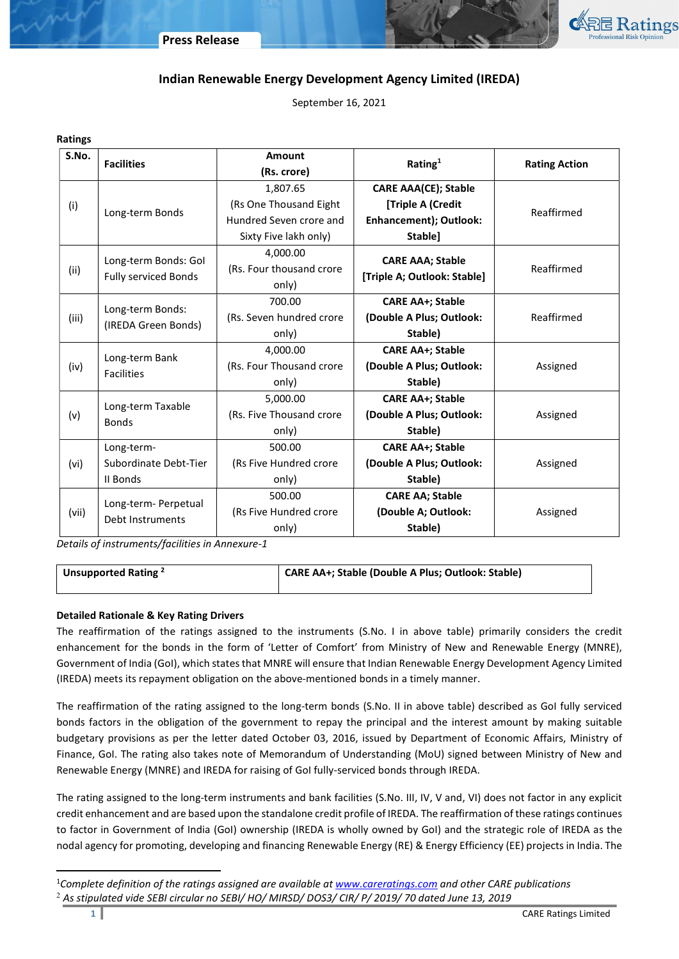

# Indian Renewable Energy Development Agency Limited (IREDA)

September 16, 2021

| <b>Ratings</b> |                                                     |                                               |                                                                |                      |
|----------------|-----------------------------------------------------|-----------------------------------------------|----------------------------------------------------------------|----------------------|
| S.No.          | <b>Facilities</b>                                   | Amount<br>Rating $1$<br>(Rs. crore)           |                                                                | <b>Rating Action</b> |
|                |                                                     | 1,807.65                                      | <b>CARE AAA(CE); Stable</b>                                    |                      |
| (i)            |                                                     | (Rs One Thousand Eight                        | [Triple A (Credit                                              | Reaffirmed           |
|                | Long-term Bonds                                     | Hundred Seven crore and                       | Enhancement); Outlook:                                         |                      |
|                |                                                     | Sixty Five lakh only)                         | Stable]                                                        |                      |
| (ii)           | Long-term Bonds: Gol<br><b>Fully serviced Bonds</b> | 4,000.00<br>(Rs. Four thousand crore<br>only) | <b>CARE AAA; Stable</b><br>[Triple A; Outlook: Stable]         | Reaffirmed           |
| (iii)          | Long-term Bonds:<br>(IREDA Green Bonds)             | 700.00<br>(Rs. Seven hundred crore<br>only)   | <b>CARE AA+; Stable</b><br>(Double A Plus; Outlook:<br>Stable) |                      |
| (iv)           | Long-term Bank<br><b>Facilities</b>                 | 4,000.00<br>(Rs. Four Thousand crore<br>only) | <b>CARE AA+; Stable</b><br>(Double A Plus; Outlook:<br>Stable) | Assigned             |
| (v)            | Long-term Taxable<br><b>Bonds</b>                   | 5,000.00<br>(Rs. Five Thousand crore<br>only) | <b>CARE AA+; Stable</b><br>(Double A Plus; Outlook:<br>Stable) | Assigned             |
| (vi)           | Long-term-<br>Subordinate Debt-Tier<br>II Bonds     | 500.00<br>(Rs Five Hundred crore<br>only)     | <b>CARE AA+; Stable</b><br>(Double A Plus; Outlook:<br>Stable) | Assigned             |
| (vii)          | Long-term- Perpetual<br>Debt Instruments            | 500.00<br>(Rs Five Hundred crore<br>only)     | <b>CARE AA; Stable</b><br>(Double A; Outlook:<br>Stable)       | Assigned             |

Details of instruments/facilities in Annexure-1

Unsupported Rating <sup>2</sup> CARE AA+; Stable (Double A Plus; Outlook: Stable)

## Detailed Rationale & Key Rating Drivers

The reaffirmation of the ratings assigned to the instruments (S.No. I in above table) primarily considers the credit enhancement for the bonds in the form of 'Letter of Comfort' from Ministry of New and Renewable Energy (MNRE), Government of India (GoI), which states that MNRE will ensure that Indian Renewable Energy Development Agency Limited (IREDA) meets its repayment obligation on the above-mentioned bonds in a timely manner.

The reaffirmation of the rating assigned to the long-term bonds (S.No. II in above table) described as GoI fully serviced bonds factors in the obligation of the government to repay the principal and the interest amount by making suitable budgetary provisions as per the letter dated October 03, 2016, issued by Department of Economic Affairs, Ministry of Finance, GoI. The rating also takes note of Memorandum of Understanding (MoU) signed between Ministry of New and Renewable Energy (MNRE) and IREDA for raising of GoI fully-serviced bonds through IREDA.

The rating assigned to the long-term instruments and bank facilities (S.No. III, IV, V and, VI) does not factor in any explicit credit enhancement and are based upon the standalone credit profile of IREDA. The reaffirmation of these ratings continues to factor in Government of India (GoI) ownership (IREDA is wholly owned by GoI) and the strategic role of IREDA as the nodal agency for promoting, developing and financing Renewable Energy (RE) & Energy Efficiency (EE) projects in India. The

 $\overline{a}$ 

<sup>&</sup>lt;sup>1</sup>Complete definition of the ratings assigned are available at www.careratings.com and other CARE publications  $^2$  As stipulated vide SEBI circular no SEBI/ HO/ MIRSD/ DOS3/ CIR/ P/ 2019/ 70 dated June 13, 2019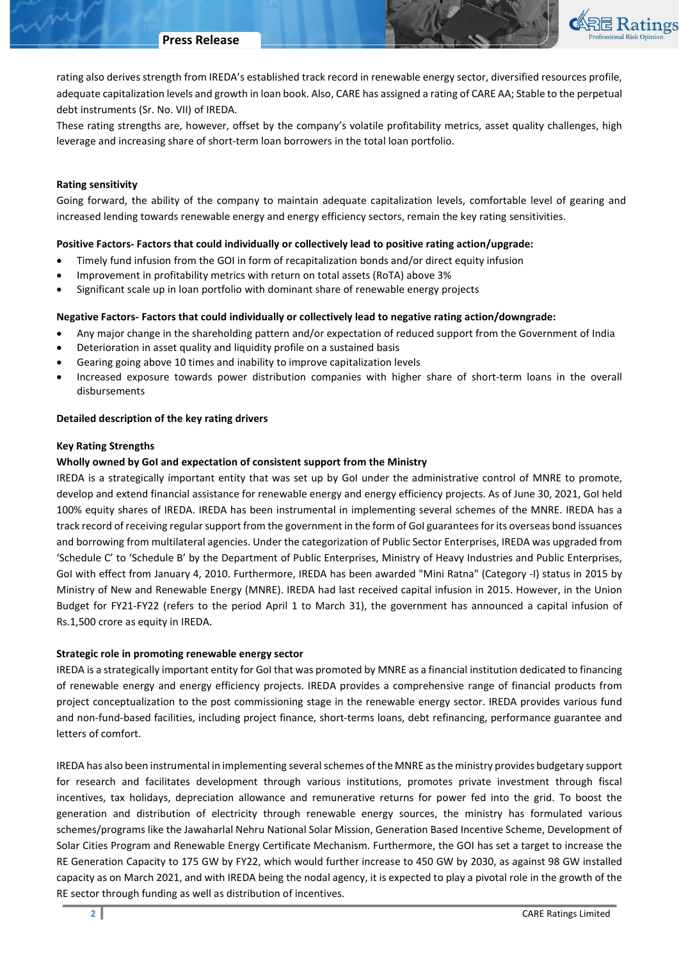

rating also derives strength from IREDA's established track record in renewable energy sector, diversified resources profile, adequate capitalization levels and growth in loan book. Also, CARE has assigned a rating of CARE AA; Stable to the perpetual debt instruments (Sr. No. VII) of IREDA.

These rating strengths are, however, offset by the company's volatile profitability metrics, asset quality challenges, high leverage and increasing share of short-term loan borrowers in the total loan portfolio.

### Rating sensitivity

Going forward, the ability of the company to maintain adequate capitalization levels, comfortable level of gearing and increased lending towards renewable energy and energy efficiency sectors, remain the key rating sensitivities.

## Positive Factors- Factors that could individually or collectively lead to positive rating action/upgrade:

- Timely fund infusion from the GOI in form of recapitalization bonds and/or direct equity infusion
- Improvement in profitability metrics with return on total assets (RoTA) above 3%
- Significant scale up in loan portfolio with dominant share of renewable energy projects

### Negative Factors- Factors that could individually or collectively lead to negative rating action/downgrade:

- Any major change in the shareholding pattern and/or expectation of reduced support from the Government of India
- Deterioration in asset quality and liquidity profile on a sustained basis
- Gearing going above 10 times and inability to improve capitalization levels
- Increased exposure towards power distribution companies with higher share of short-term loans in the overall disbursements

#### Detailed description of the key rating drivers

#### Key Rating Strengths

### Wholly owned by GoI and expectation of consistent support from the Ministry

IREDA is a strategically important entity that was set up by GoI under the administrative control of MNRE to promote, develop and extend financial assistance for renewable energy and energy efficiency projects. As of June 30, 2021, GoI held 100% equity shares of IREDA. IREDA has been instrumental in implementing several schemes of the MNRE. IREDA has a track record of receiving regular support from the government in the form of GoI guarantees for its overseas bond issuances and borrowing from multilateral agencies. Under the categorization of Public Sector Enterprises, IREDA was upgraded from 'Schedule C' to 'Schedule B' by the Department of Public Enterprises, Ministry of Heavy Industries and Public Enterprises, Gol with effect from January 4, 2010. Furthermore, IREDA has been awarded "Mini Ratna" (Category -I) status in 2015 by Ministry of New and Renewable Energy (MNRE). IREDA had last received capital infusion in 2015. However, in the Union Budget for FY21-FY22 (refers to the period April 1 to March 31), the government has announced a capital infusion of Rs.1,500 crore as equity in IREDA.

## Strategic role in promoting renewable energy sector

IREDA is a strategically important entity for GoI that was promoted by MNRE as a financial institution dedicated to financing of renewable energy and energy efficiency projects. IREDA provides a comprehensive range of financial products from project conceptualization to the post commissioning stage in the renewable energy sector. IREDA provides various fund and non-fund-based facilities, including project finance, short-terms loans, debt refinancing, performance guarantee and letters of comfort.

IREDA has also been instrumental in implementing several schemes of the MNRE as the ministry provides budgetary support for research and facilitates development through various institutions, promotes private investment through fiscal incentives, tax holidays, depreciation allowance and remunerative returns for power fed into the grid. To boost the generation and distribution of electricity through renewable energy sources, the ministry has formulated various schemes/programs like the Jawaharlal Nehru National Solar Mission, Generation Based Incentive Scheme, Development of Solar Cities Program and Renewable Energy Certificate Mechanism. Furthermore, the GOI has set a target to increase the RE Generation Capacity to 175 GW by FY22, which would further increase to 450 GW by 2030, as against 98 GW installed capacity as on March 2021, and with IREDA being the nodal agency, it is expected to play a pivotal role in the growth of the RE sector through funding as well as distribution of incentives.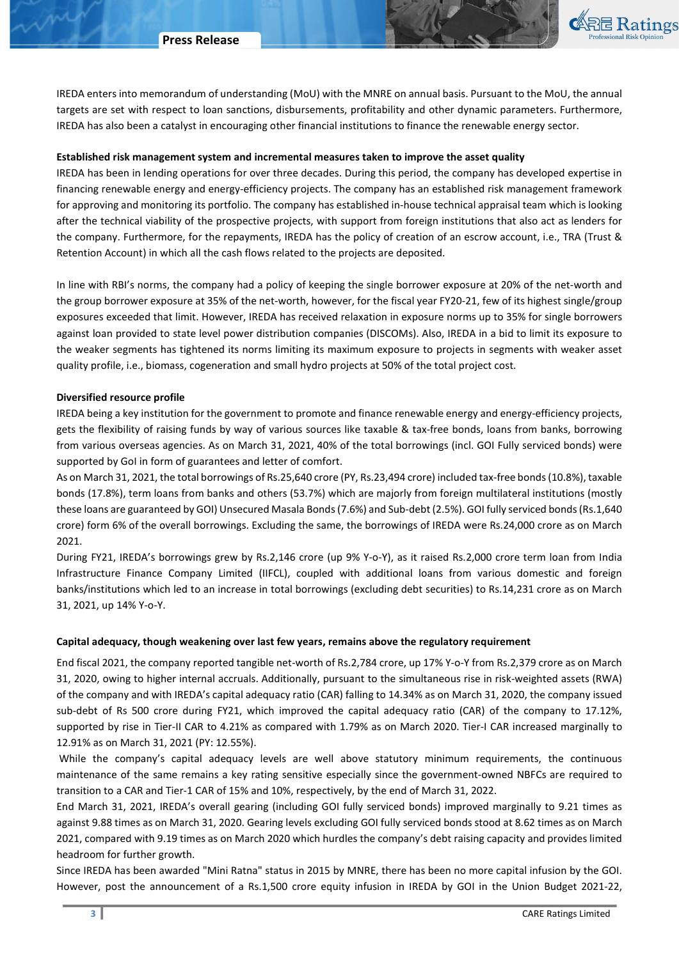

IREDA enters into memorandum of understanding (MoU) with the MNRE on annual basis. Pursuant to the MoU, the annual targets are set with respect to loan sanctions, disbursements, profitability and other dynamic parameters. Furthermore, IREDA has also been a catalyst in encouraging other financial institutions to finance the renewable energy sector.

#### Established risk management system and incremental measures taken to improve the asset quality

IREDA has been in lending operations for over three decades. During this period, the company has developed expertise in financing renewable energy and energy-efficiency projects. The company has an established risk management framework for approving and monitoring its portfolio. The company has established in-house technical appraisal team which is looking after the technical viability of the prospective projects, with support from foreign institutions that also act as lenders for the company. Furthermore, for the repayments, IREDA has the policy of creation of an escrow account, i.e., TRA (Trust & Retention Account) in which all the cash flows related to the projects are deposited.

In line with RBI's norms, the company had a policy of keeping the single borrower exposure at 20% of the net-worth and the group borrower exposure at 35% of the net-worth, however, for the fiscal year FY20-21, few of its highest single/group exposures exceeded that limit. However, IREDA has received relaxation in exposure norms up to 35% for single borrowers against loan provided to state level power distribution companies (DISCOMs). Also, IREDA in a bid to limit its exposure to the weaker segments has tightened its norms limiting its maximum exposure to projects in segments with weaker asset quality profile, i.e., biomass, cogeneration and small hydro projects at 50% of the total project cost.

#### Diversified resource profile

IREDA being a key institution for the government to promote and finance renewable energy and energy-efficiency projects, gets the flexibility of raising funds by way of various sources like taxable & tax-free bonds, loans from banks, borrowing from various overseas agencies. As on March 31, 2021, 40% of the total borrowings (incl. GOI Fully serviced bonds) were supported by GoI in form of guarantees and letter of comfort.

As on March 31, 2021, the total borrowings of Rs.25,640 crore (PY, Rs.23,494 crore) included tax-free bonds (10.8%), taxable bonds (17.8%), term loans from banks and others (53.7%) which are majorly from foreign multilateral institutions (mostly these loans are guaranteed by GOI) Unsecured Masala Bonds (7.6%) and Sub-debt (2.5%). GOI fully serviced bonds (Rs.1,640 crore) form 6% of the overall borrowings. Excluding the same, the borrowings of IREDA were Rs.24,000 crore as on March 2021.

During FY21, IREDA's borrowings grew by Rs.2,146 crore (up 9% Y-o-Y), as it raised Rs.2,000 crore term loan from India Infrastructure Finance Company Limited (IIFCL), coupled with additional loans from various domestic and foreign banks/institutions which led to an increase in total borrowings (excluding debt securities) to Rs.14,231 crore as on March 31, 2021, up 14% Y-o-Y.

### Capital adequacy, though weakening over last few years, remains above the regulatory requirement

End fiscal 2021, the company reported tangible net-worth of Rs.2,784 crore, up 17% Y-o-Y from Rs.2,379 crore as on March 31, 2020, owing to higher internal accruals. Additionally, pursuant to the simultaneous rise in risk-weighted assets (RWA) of the company and with IREDA's capital adequacy ratio (CAR) falling to 14.34% as on March 31, 2020, the company issued sub-debt of Rs 500 crore during FY21, which improved the capital adequacy ratio (CAR) of the company to 17.12%, supported by rise in Tier-II CAR to 4.21% as compared with 1.79% as on March 2020. Tier-I CAR increased marginally to 12.91% as on March 31, 2021 (PY: 12.55%).

 While the company's capital adequacy levels are well above statutory minimum requirements, the continuous maintenance of the same remains a key rating sensitive especially since the government-owned NBFCs are required to transition to a CAR and Tier-1 CAR of 15% and 10%, respectively, by the end of March 31, 2022.

End March 31, 2021, IREDA's overall gearing (including GOI fully serviced bonds) improved marginally to 9.21 times as against 9.88 times as on March 31, 2020. Gearing levels excluding GOI fully serviced bonds stood at 8.62 times as on March 2021, compared with 9.19 times as on March 2020 which hurdles the company's debt raising capacity and provides limited headroom for further growth.

Since IREDA has been awarded "Mini Ratna" status in 2015 by MNRE, there has been no more capital infusion by the GOI. However, post the announcement of a Rs.1,500 crore equity infusion in IREDA by GOI in the Union Budget 2021-22,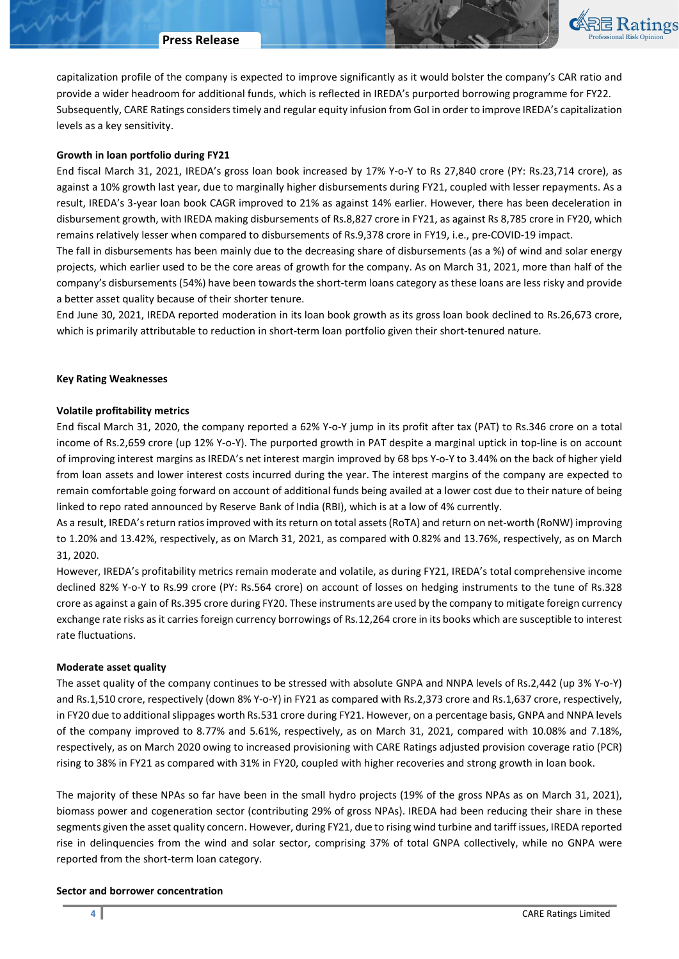#### Press Release



capitalization profile of the company is expected to improve significantly as it would bolster the company's CAR ratio and provide a wider headroom for additional funds, which is reflected in IREDA's purported borrowing programme for FY22. Subsequently, CARE Ratings considers timely and regular equity infusion from GoI in order to improve IREDA's capitalization levels as a key sensitivity.

#### Growth in loan portfolio during FY21

End fiscal March 31, 2021, IREDA's gross loan book increased by 17% Y-o-Y to Rs 27,840 crore (PY: Rs.23,714 crore), as against a 10% growth last year, due to marginally higher disbursements during FY21, coupled with lesser repayments. As a result, IREDA's 3-year loan book CAGR improved to 21% as against 14% earlier. However, there has been deceleration in disbursement growth, with IREDA making disbursements of Rs.8,827 crore in FY21, as against Rs 8,785 crore in FY20, which remains relatively lesser when compared to disbursements of Rs.9,378 crore in FY19, i.e., pre-COVID-19 impact.

The fall in disbursements has been mainly due to the decreasing share of disbursements (as a %) of wind and solar energy projects, which earlier used to be the core areas of growth for the company. As on March 31, 2021, more than half of the company's disbursements (54%) have been towards the short-term loans category as these loans are less risky and provide a better asset quality because of their shorter tenure.

End June 30, 2021, IREDA reported moderation in its loan book growth as its gross loan book declined to Rs.26,673 crore, which is primarily attributable to reduction in short-term loan portfolio given their short-tenured nature.

#### Key Rating Weaknesses

#### Volatile profitability metrics

End fiscal March 31, 2020, the company reported a 62% Y-o-Y jump in its profit after tax (PAT) to Rs.346 crore on a total income of Rs.2,659 crore (up 12% Y-o-Y). The purported growth in PAT despite a marginal uptick in top-line is on account of improving interest margins as IREDA's net interest margin improved by 68 bps Y-o-Y to 3.44% on the back of higher yield from loan assets and lower interest costs incurred during the year. The interest margins of the company are expected to remain comfortable going forward on account of additional funds being availed at a lower cost due to their nature of being linked to repo rated announced by Reserve Bank of India (RBI), which is at a low of 4% currently.

As a result, IREDA's return ratios improved with its return on total assets (RoTA) and return on net-worth (RoNW) improving to 1.20% and 13.42%, respectively, as on March 31, 2021, as compared with 0.82% and 13.76%, respectively, as on March 31, 2020.

However, IREDA's profitability metrics remain moderate and volatile, as during FY21, IREDA's total comprehensive income declined 82% Y-o-Y to Rs.99 crore (PY: Rs.564 crore) on account of losses on hedging instruments to the tune of Rs.328 crore as against a gain of Rs.395 crore during FY20. These instruments are used by the company to mitigate foreign currency exchange rate risks as it carries foreign currency borrowings of Rs.12,264 crore in its books which are susceptible to interest rate fluctuations.

#### Moderate asset quality

The asset quality of the company continues to be stressed with absolute GNPA and NNPA levels of Rs.2,442 (up 3% Y-o-Y) and Rs.1,510 crore, respectively (down 8% Y-o-Y) in FY21 as compared with Rs.2,373 crore and Rs.1,637 crore, respectively, in FY20 due to additional slippages worth Rs.531 crore during FY21. However, on a percentage basis, GNPA and NNPA levels of the company improved to 8.77% and 5.61%, respectively, as on March 31, 2021, compared with 10.08% and 7.18%, respectively, as on March 2020 owing to increased provisioning with CARE Ratings adjusted provision coverage ratio (PCR) rising to 38% in FY21 as compared with 31% in FY20, coupled with higher recoveries and strong growth in loan book.

The majority of these NPAs so far have been in the small hydro projects (19% of the gross NPAs as on March 31, 2021), biomass power and cogeneration sector (contributing 29% of gross NPAs). IREDA had been reducing their share in these segments given the asset quality concern. However, during FY21, due to rising wind turbine and tariff issues, IREDA reported rise in delinquencies from the wind and solar sector, comprising 37% of total GNPA collectively, while no GNPA were reported from the short-term loan category.

#### Sector and borrower concentration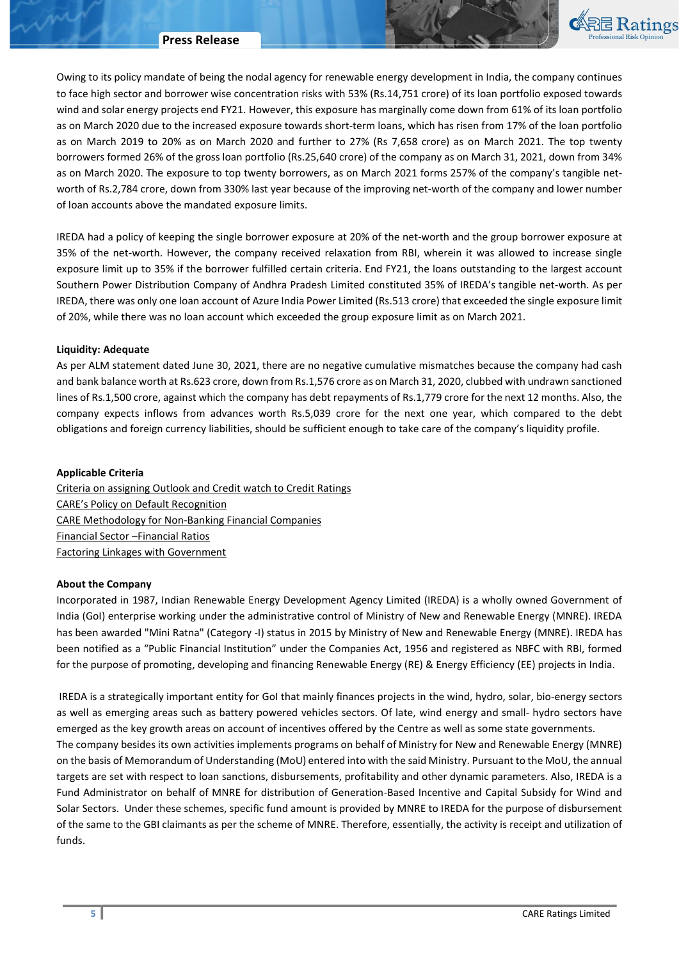

Owing to its policy mandate of being the nodal agency for renewable energy development in India, the company continues to face high sector and borrower wise concentration risks with 53% (Rs.14,751 crore) of its loan portfolio exposed towards wind and solar energy projects end FY21. However, this exposure has marginally come down from 61% of its loan portfolio as on March 2020 due to the increased exposure towards short-term loans, which has risen from 17% of the loan portfolio as on March 2019 to 20% as on March 2020 and further to 27% (Rs 7,658 crore) as on March 2021. The top twenty borrowers formed 26% of the gross loan portfolio (Rs.25,640 crore) of the company as on March 31, 2021, down from 34% as on March 2020. The exposure to top twenty borrowers, as on March 2021 forms 257% of the company's tangible networth of Rs.2,784 crore, down from 330% last year because of the improving net-worth of the company and lower number of loan accounts above the mandated exposure limits.

IREDA had a policy of keeping the single borrower exposure at 20% of the net-worth and the group borrower exposure at 35% of the net-worth. However, the company received relaxation from RBI, wherein it was allowed to increase single exposure limit up to 35% if the borrower fulfilled certain criteria. End FY21, the loans outstanding to the largest account Southern Power Distribution Company of Andhra Pradesh Limited constituted 35% of IREDA's tangible net-worth. As per IREDA, there was only one loan account of Azure India Power Limited (Rs.513 crore) that exceeded the single exposure limit of 20%, while there was no loan account which exceeded the group exposure limit as on March 2021.

#### Liquidity: Adequate

As per ALM statement dated June 30, 2021, there are no negative cumulative mismatches because the company had cash and bank balance worth at Rs.623 crore, down from Rs.1,576 crore as on March 31, 2020, clubbed with undrawn sanctioned lines of Rs.1,500 crore, against which the company has debt repayments of Rs.1,779 crore for the next 12 months. Also, the company expects inflows from advances worth Rs.5,039 crore for the next one year, which compared to the debt obligations and foreign currency liabilities, should be sufficient enough to take care of the company's liquidity profile.

### Applicable Criteria

Criteria on assigning Outlook and Credit watch to Credit Ratings CARE's Policy on Default Recognition CARE Methodology for Non-Banking Financial Companies Financial Sector –Financial Ratios Factoring Linkages with Government

#### About the Company

Incorporated in 1987, Indian Renewable Energy Development Agency Limited (IREDA) is a wholly owned Government of India (GoI) enterprise working under the administrative control of Ministry of New and Renewable Energy (MNRE). IREDA has been awarded "Mini Ratna" (Category -I) status in 2015 by Ministry of New and Renewable Energy (MNRE). IREDA has been notified as a "Public Financial Institution" under the Companies Act, 1956 and registered as NBFC with RBI, formed for the purpose of promoting, developing and financing Renewable Energy (RE) & Energy Efficiency (EE) projects in India.

 IREDA is a strategically important entity for GoI that mainly finances projects in the wind, hydro, solar, bio-energy sectors as well as emerging areas such as battery powered vehicles sectors. Of late, wind energy and small- hydro sectors have emerged as the key growth areas on account of incentives offered by the Centre as well as some state governments. The company besides its own activities implements programs on behalf of Ministry for New and Renewable Energy (MNRE) on the basis of Memorandum of Understanding (MoU) entered into with the said Ministry. Pursuant to the MoU, the annual targets are set with respect to loan sanctions, disbursements, profitability and other dynamic parameters. Also, IREDA is a Fund Administrator on behalf of MNRE for distribution of Generation-Based Incentive and Capital Subsidy for Wind and Solar Sectors. Under these schemes, specific fund amount is provided by MNRE to IREDA for the purpose of disbursement of the same to the GBI claimants as per the scheme of MNRE. Therefore, essentially, the activity is receipt and utilization of funds.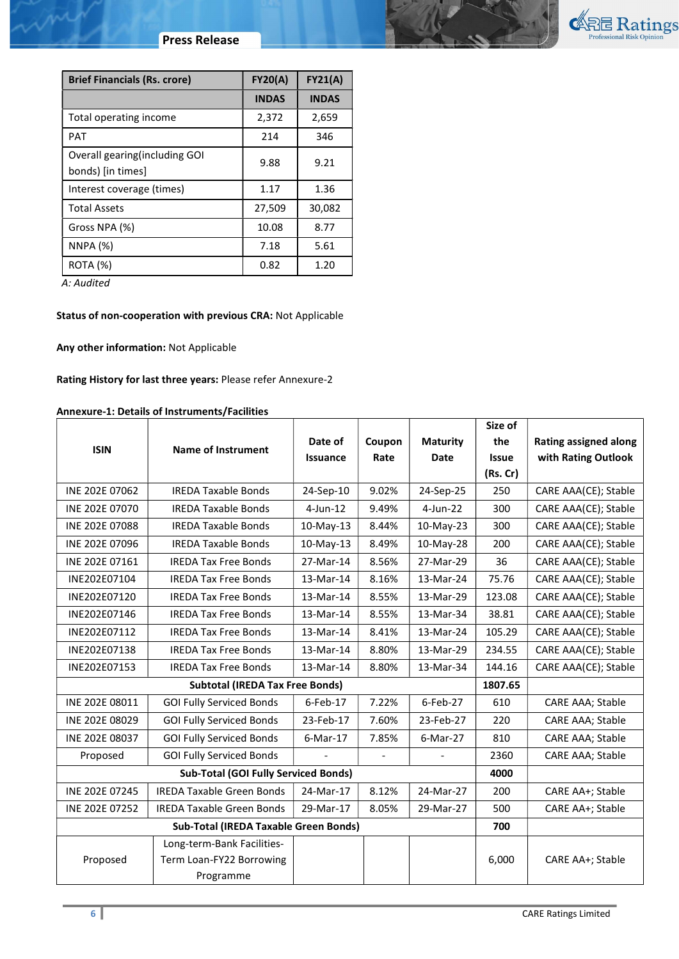

# Press Release

| <b>Brief Financials (Rs. crore)</b>                 | <b>FY20(A)</b> | <b>FY21(A)</b> |
|-----------------------------------------------------|----------------|----------------|
|                                                     | <b>INDAS</b>   | <b>INDAS</b>   |
| Total operating income                              | 2,372          | 2,659          |
| <b>PAT</b>                                          | 214            | 346            |
| Overall gearing (including GOI<br>bonds) [in times] | 9.88           | 9.21           |
| Interest coverage (times)                           | 1.17           | 1.36           |
| <b>Total Assets</b>                                 | 27,509         | 30,082         |
| Gross NPA (%)                                       | 10.08          | 8.77           |
| <b>NNPA (%)</b>                                     | 7.18           | 5.61           |
| ROTA (%)                                            | 0.82           | 1.20           |

A: Audited

m

# Status of non-cooperation with previous CRA: Not Applicable

# Any other information: Not Applicable

# Rating History for last three years: Please refer Annexure-2

# Annexure-1: Details of Instruments/Facilities

|                |                                             |                 |                |                          | Size of      |                              |
|----------------|---------------------------------------------|-----------------|----------------|--------------------------|--------------|------------------------------|
| <b>ISIN</b>    | <b>Name of Instrument</b>                   | Date of         | Coupon         | <b>Maturity</b>          | the          | <b>Rating assigned along</b> |
|                |                                             | <b>Issuance</b> | Rate           | Date                     | <b>Issue</b> | with Rating Outlook          |
|                |                                             |                 |                |                          | (Rs.Cr)      |                              |
| INE 202E 07062 | <b>IREDA Taxable Bonds</b>                  | 24-Sep-10       | 9.02%          | 24-Sep-25                | 250          | CARE AAA(CE); Stable         |
| INE 202E 07070 | <b>IREDA Taxable Bonds</b>                  | $4$ -Jun-12     | 9.49%          | $4$ -Jun-22              | 300          | CARE AAA(CE); Stable         |
| INE 202E 07088 | <b>IREDA Taxable Bonds</b>                  | 10-May-13       | 8.44%          | 10-May-23                | 300          | CARE AAA(CE); Stable         |
| INE 202E 07096 | <b>IREDA Taxable Bonds</b>                  | 10-May-13       | 8.49%          | 10-May-28                | 200          | CARE AAA(CE); Stable         |
| INE 202E 07161 | <b>IREDA Tax Free Bonds</b>                 | 27-Mar-14       | 8.56%          | 27-Mar-29                | 36           | CARE AAA(CE); Stable         |
| INE202E07104   | <b>IREDA Tax Free Bonds</b>                 | 13-Mar-14       | 8.16%          | 13-Mar-24                | 75.76        | CARE AAA(CE); Stable         |
| INE202E07120   | <b>IREDA Tax Free Bonds</b>                 | 13-Mar-14       | 8.55%          | 13-Mar-29                | 123.08       | CARE AAA(CE); Stable         |
| INE202E07146   | <b>IREDA Tax Free Bonds</b>                 | 13-Mar-14       | 8.55%          | 13-Mar-34                | 38.81        | CARE AAA(CE); Stable         |
| INE202E07112   | <b>IREDA Tax Free Bonds</b>                 | 13-Mar-14       | 8.41%          | 13-Mar-24                | 105.29       | CARE AAA(CE); Stable         |
| INE202E07138   | <b>IREDA Tax Free Bonds</b>                 | 13-Mar-14       | 8.80%          | 13-Mar-29                | 234.55       | CARE AAA(CE); Stable         |
| INE202E07153   | <b>IREDA Tax Free Bonds</b>                 | 13-Mar-14       | 8.80%          | 13-Mar-34                | 144.16       | CARE AAA(CE); Stable         |
|                | <b>Subtotal (IREDA Tax Free Bonds)</b>      |                 |                |                          | 1807.65      |                              |
| INE 202E 08011 | <b>GOI Fully Serviced Bonds</b>             | 6-Feb-17        | 7.22%          | 6-Feb-27                 | 610          | CARE AAA; Stable             |
| INE 202E 08029 | <b>GOI Fully Serviced Bonds</b>             | 23-Feb-17       | 7.60%          | 23-Feb-27                | 220          | CARE AAA; Stable             |
| INE 202E 08037 | <b>GOI Fully Serviced Bonds</b>             | 6-Mar-17        | 7.85%          | 6-Mar-27                 | 810          | CARE AAA; Stable             |
| Proposed       | <b>GOI Fully Serviced Bonds</b>             |                 | $\overline{a}$ | $\overline{\phantom{a}}$ | 2360         | CARE AAA; Stable             |
|                | <b>Sub-Total (GOI Fully Serviced Bonds)</b> |                 |                |                          | 4000         |                              |
| INE 202E 07245 | <b>IREDA Taxable Green Bonds</b>            | 24-Mar-17       | 8.12%          | 24-Mar-27                | 200          | CARE AA+; Stable             |
| INE 202E 07252 | <b>IREDA Taxable Green Bonds</b>            | 29-Mar-17       | 8.05%          | 29-Mar-27                | 500          | CARE AA+; Stable             |
|                | Sub-Total (IREDA Taxable Green Bonds)       |                 |                |                          | 700          |                              |
|                | Long-term-Bank Facilities-                  |                 |                |                          |              |                              |
| Proposed       | Term Loan-FY22 Borrowing                    |                 |                |                          | 6,000        | CARE AA+; Stable             |
|                | Programme                                   |                 |                |                          |              |                              |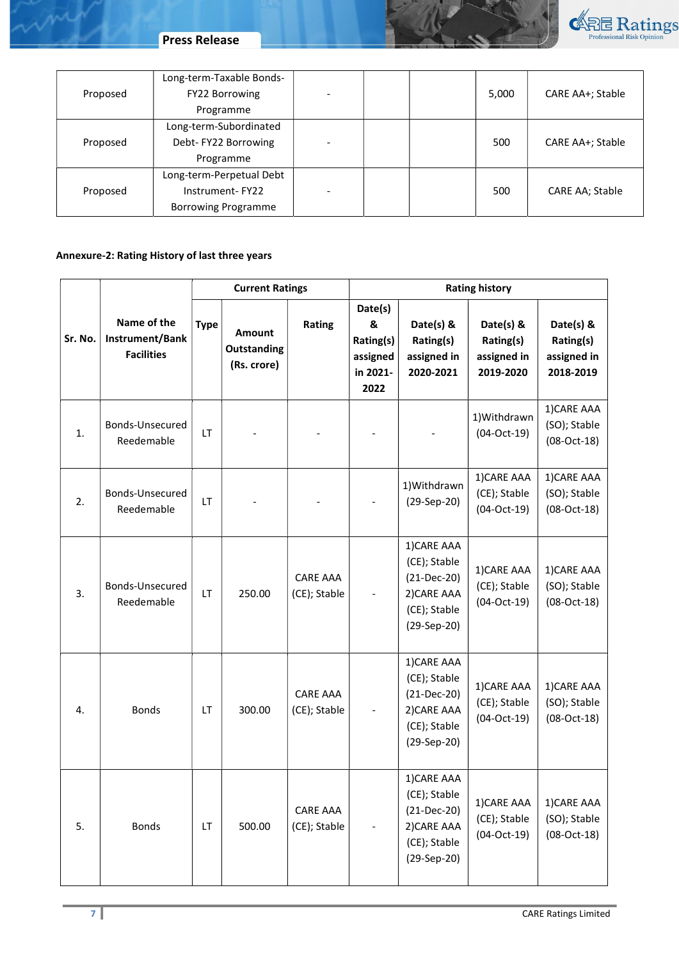

Press Release

ing

| Proposed | Long-term-Taxable Bonds-<br>FY22 Borrowing<br>Programme                   |  | 5,000 | CARE AA+; Stable       |
|----------|---------------------------------------------------------------------------|--|-------|------------------------|
| Proposed | Long-term-Subordinated<br>Debt-FY22 Borrowing<br>Programme                |  | 500   | CARE AA+; Stable       |
| Proposed | Long-term-Perpetual Debt<br>Instrument-FY22<br><b>Borrowing Programme</b> |  | 500   | <b>CARE AA; Stable</b> |

# Annexure-2: Rating History of last three years

|         |                                                     |             | <b>Current Ratings</b>               |                                 | <b>Rating history</b>                                     |                                                                                            |                                                    |                                                    |
|---------|-----------------------------------------------------|-------------|--------------------------------------|---------------------------------|-----------------------------------------------------------|--------------------------------------------------------------------------------------------|----------------------------------------------------|----------------------------------------------------|
| Sr. No. | Name of the<br>Instrument/Bank<br><b>Facilities</b> | <b>Type</b> | Amount<br>Outstanding<br>(Rs. crore) | Rating                          | Date(s)<br>&<br>Rating(s)<br>assigned<br>in 2021-<br>2022 | Date(s) &<br>Rating(s)<br>assigned in<br>2020-2021                                         | Date(s) &<br>Rating(s)<br>assigned in<br>2019-2020 | Date(s) &<br>Rating(s)<br>assigned in<br>2018-2019 |
| 1.      | Bonds-Unsecured<br>Reedemable                       | <b>LT</b>   |                                      |                                 |                                                           |                                                                                            | 1) Withdrawn<br>$(04-Oct-19)$                      | 1) CARE AAA<br>(SO); Stable<br>$(08-Oct-18)$       |
| 2.      | Bonds-Unsecured<br>Reedemable                       | LT          |                                      |                                 |                                                           | 1) Withdrawn<br>(29-Sep-20)                                                                | 1) CARE AAA<br>(CE); Stable<br>$(04-Oct-19)$       | 1) CARE AAA<br>(SO); Stable<br>$(08-Oct-18)$       |
| 3.      | Bonds-Unsecured<br>Reedemable                       | LT.         | 250.00                               | <b>CARE AAA</b><br>(CE); Stable |                                                           | 1) CARE AAA<br>(CE); Stable<br>$(21-Dec-20)$<br>2) CARE AAA<br>(CE); Stable<br>(29-Sep-20) | 1) CARE AAA<br>(CE); Stable<br>$(04-Oct-19)$       | 1) CARE AAA<br>(SO); Stable<br>$(08-Oct-18)$       |
| 4.      | <b>Bonds</b>                                        | LT          | 300.00                               | <b>CARE AAA</b><br>(CE); Stable |                                                           | 1) CARE AAA<br>(CE); Stable<br>$(21-Dec-20)$<br>2) CARE AAA<br>(CE); Stable<br>(29-Sep-20) | 1) CARE AAA<br>(CE); Stable<br>$(04-Oct-19)$       | 1) CARE AAA<br>(SO); Stable<br>$(08-Oct-18)$       |
| 5.      | <b>Bonds</b>                                        | LT          | 500.00                               | <b>CARE AAA</b><br>(CE); Stable |                                                           | 1) CARE AAA<br>(CE); Stable<br>(21-Dec-20)<br>2) CARE AAA<br>(CE); Stable<br>(29-Sep-20)   | 1) CARE AAA<br>(CE); Stable<br>$(04-Oct-19)$       | 1) CARE AAA<br>(SO); Stable<br>$(08-Oct-18)$       |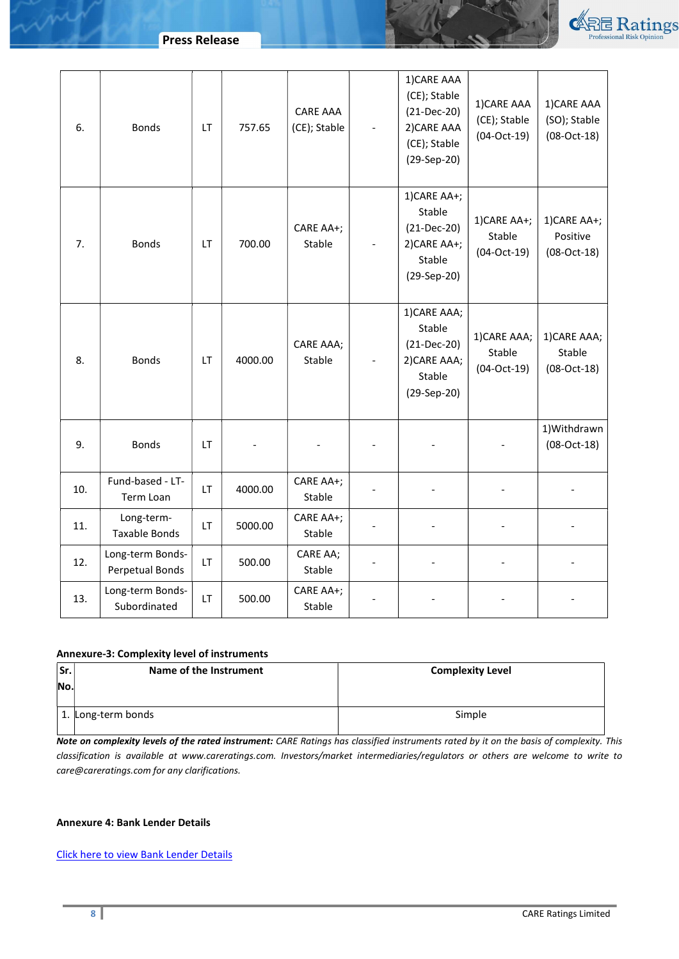

| 6.  | <b>Bonds</b>                        | LT  | 757.65  | CARE AAA<br>(CE); Stable | 1) CARE AAA<br>(CE); Stable<br>$(21-Dec-20)$<br>2) CARE AAA<br>(CE); Stable<br>(29-Sep-20) | 1) CARE AAA<br>(CE); Stable<br>$(04-Oct-19)$ | 1) CARE AAA<br>(SO); Stable<br>$(08-Oct-18)$ |
|-----|-------------------------------------|-----|---------|--------------------------|--------------------------------------------------------------------------------------------|----------------------------------------------|----------------------------------------------|
| 7.  | <b>Bonds</b>                        | LT  | 700.00  | CARE AA+;<br>Stable      | 1) CARE AA+;<br>Stable<br>$(21-Dec-20)$<br>2) CARE AA+;<br>Stable<br>(29-Sep-20)           | 1) CARE AA+;<br>Stable<br>$(04-Oct-19)$      | 1) CARE AA+;<br>Positive<br>$(08-Oct-18)$    |
| 8.  | <b>Bonds</b>                        | LT. | 4000.00 | CARE AAA;<br>Stable      | 1) CARE AAA;<br>Stable<br>$(21-Dec-20)$<br>2) CARE AAA;<br>Stable<br>(29-Sep-20)           | 1) CARE AAA;<br>Stable<br>$(04-Oct-19)$      | 1) CARE AAA;<br>Stable<br>$(08-Oct-18)$      |
| 9.  | <b>Bonds</b>                        | LT  |         |                          |                                                                                            |                                              | 1) Withdrawn<br>$(08-Oct-18)$                |
| 10. | Fund-based - LT-<br>Term Loan       | LT  | 4000.00 | CARE AA+;<br>Stable      |                                                                                            |                                              |                                              |
| 11. | Long-term-<br><b>Taxable Bonds</b>  | LT  | 5000.00 | CARE AA+;<br>Stable      |                                                                                            |                                              |                                              |
| 12. | Long-term Bonds-<br>Perpetual Bonds | LT  | 500.00  | CARE AA;<br>Stable       |                                                                                            |                                              |                                              |
| 13. | Long-term Bonds-<br>Subordinated    | LT  | 500.00  | CARE AA+;<br>Stable      |                                                                                            |                                              |                                              |

# Annexure-3: Complexity level of instruments

| lSr. | Name of the Instrument | <b>Complexity Level</b> |
|------|------------------------|-------------------------|
| No.  |                        |                         |
|      |                        |                         |
|      | 1. Long-term bonds     | Simple                  |
|      |                        |                         |

Note on complexity levels of the rated instrument: CARE Ratings has classified instruments rated by it on the basis of complexity. This classification is available at www.careratings.com. Investors/market intermediaries/regulators or others are welcome to write to care@careratings.com for any clarifications.

# Annexure 4: Bank Lender Details

Click here to view Bank Lender Details